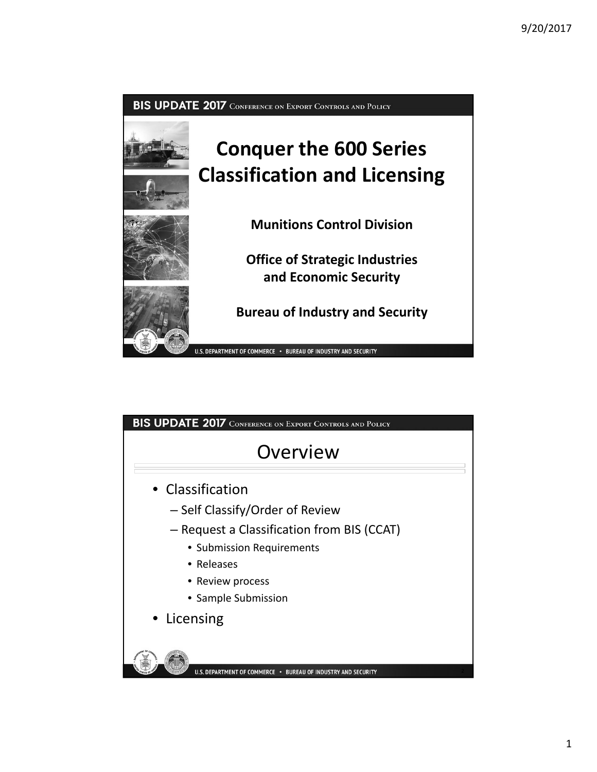

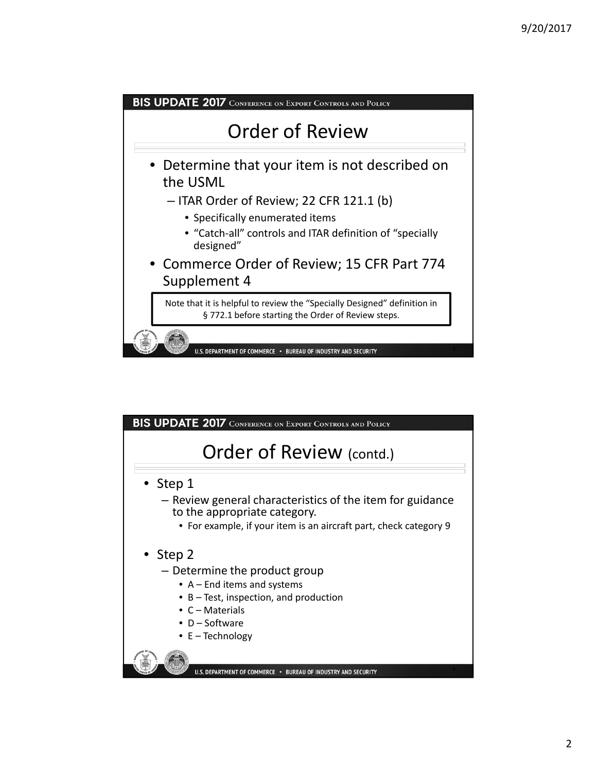

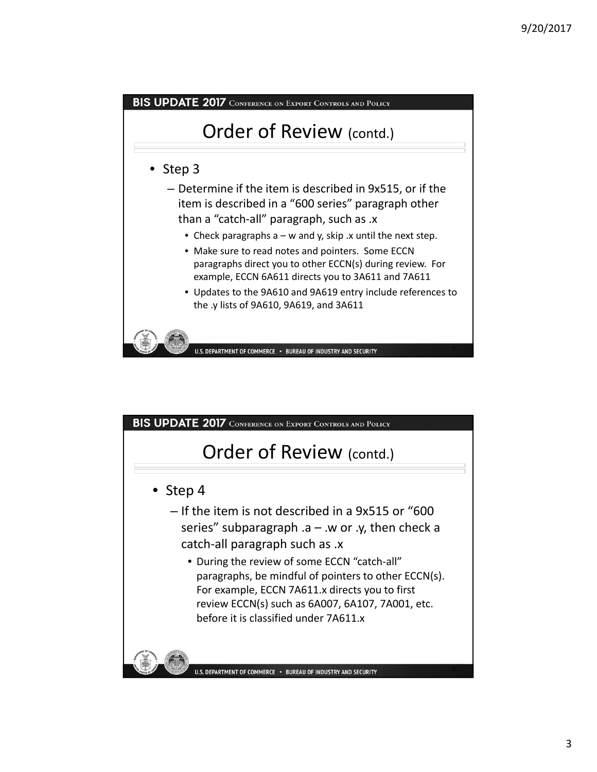

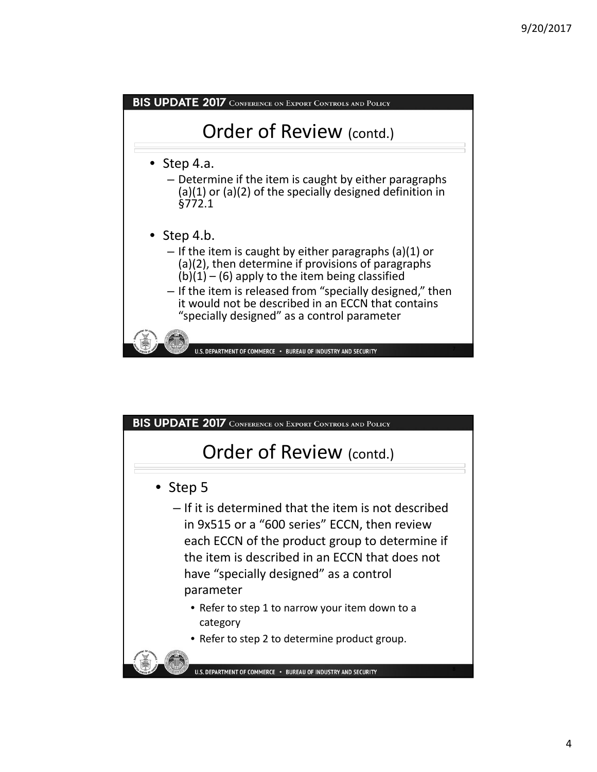

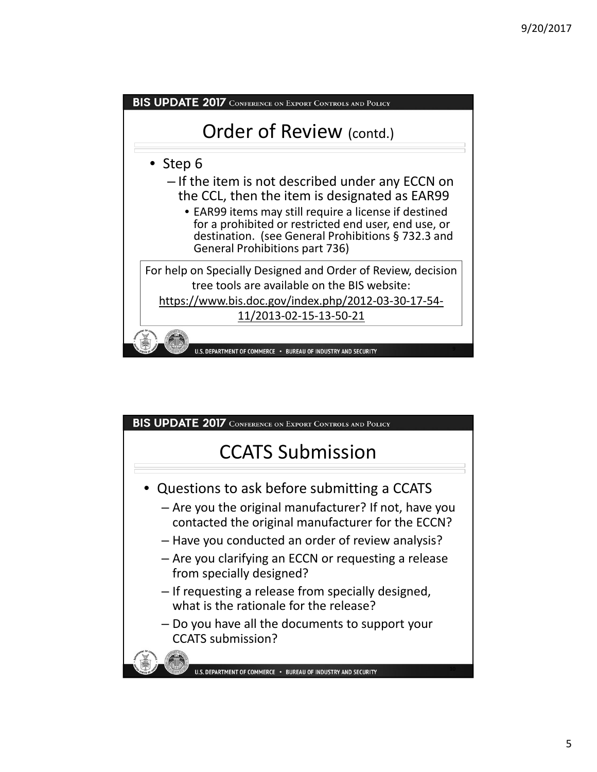

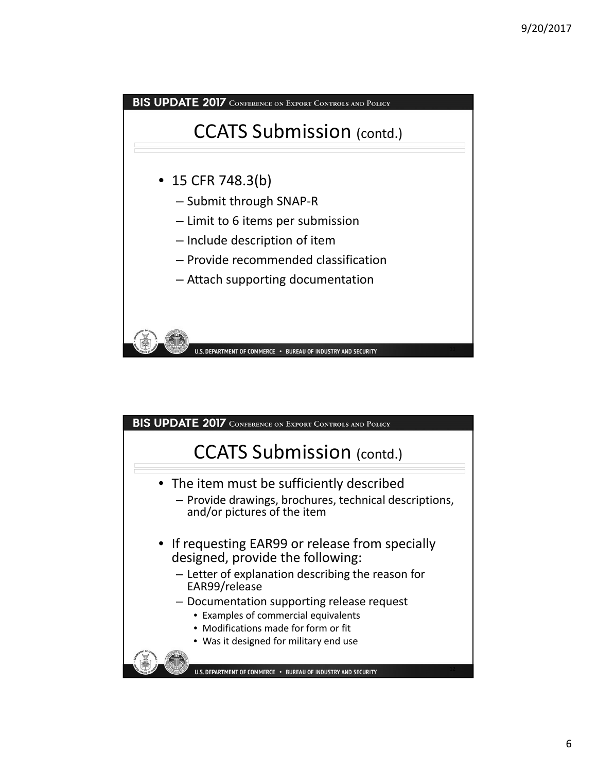

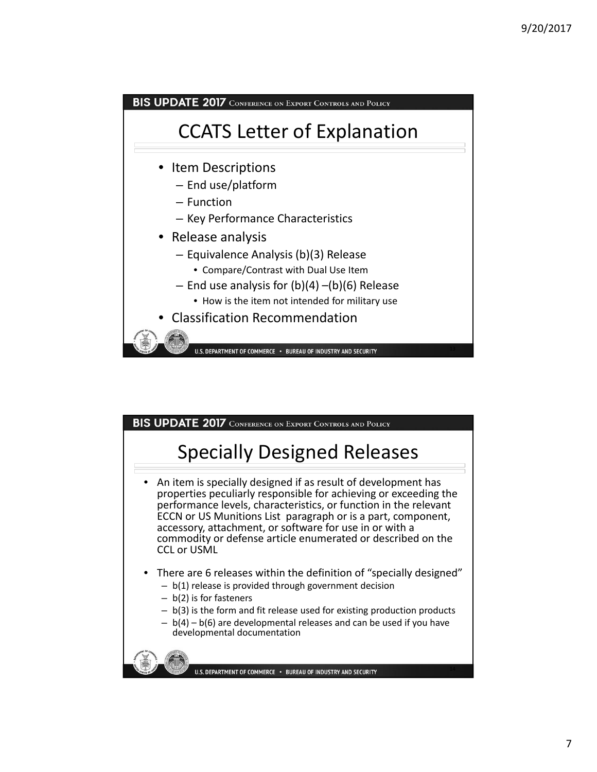

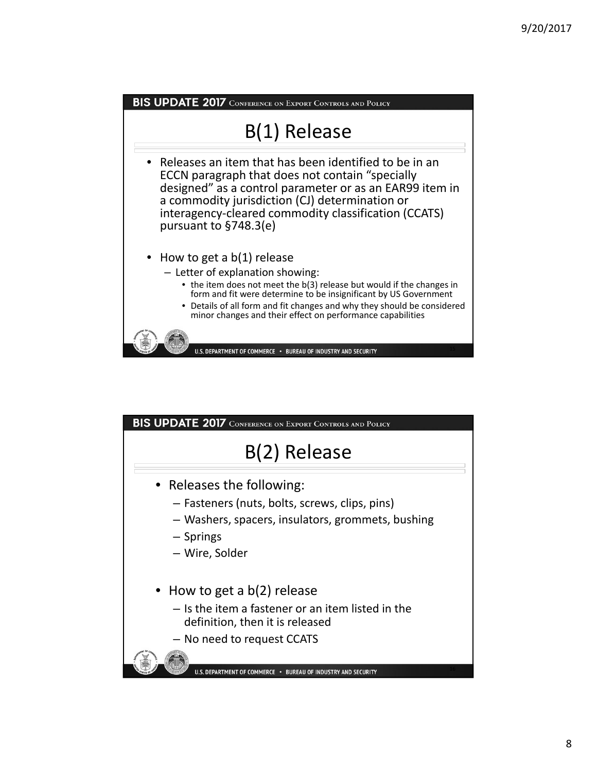

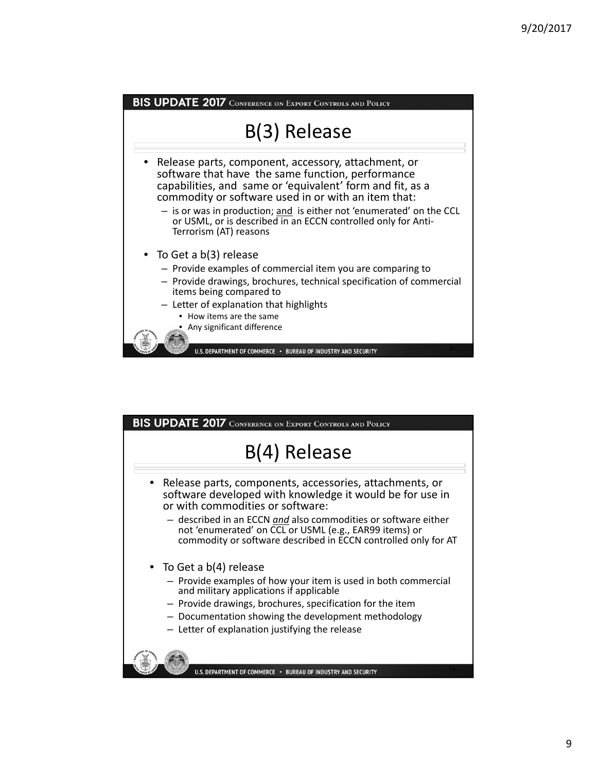

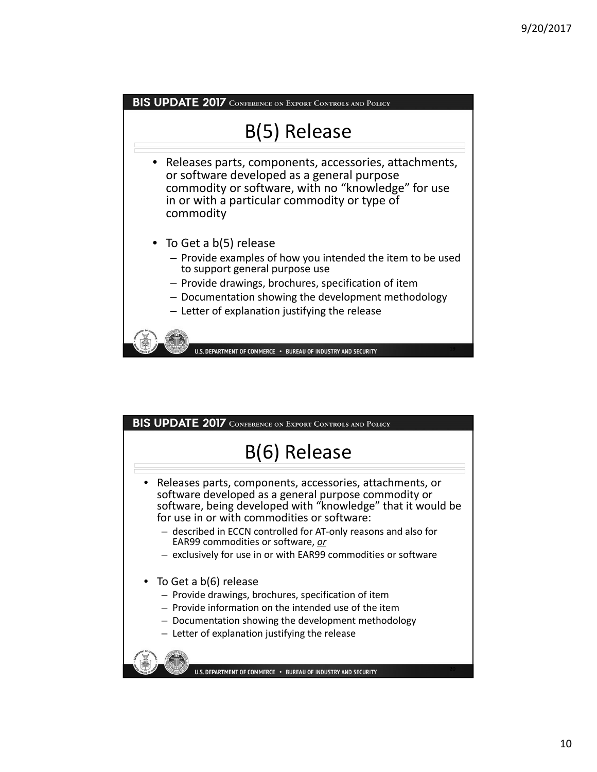

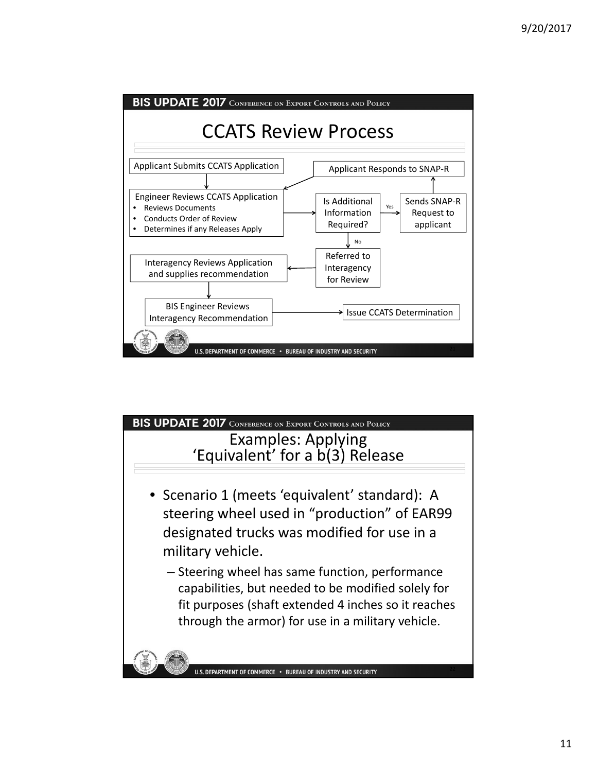

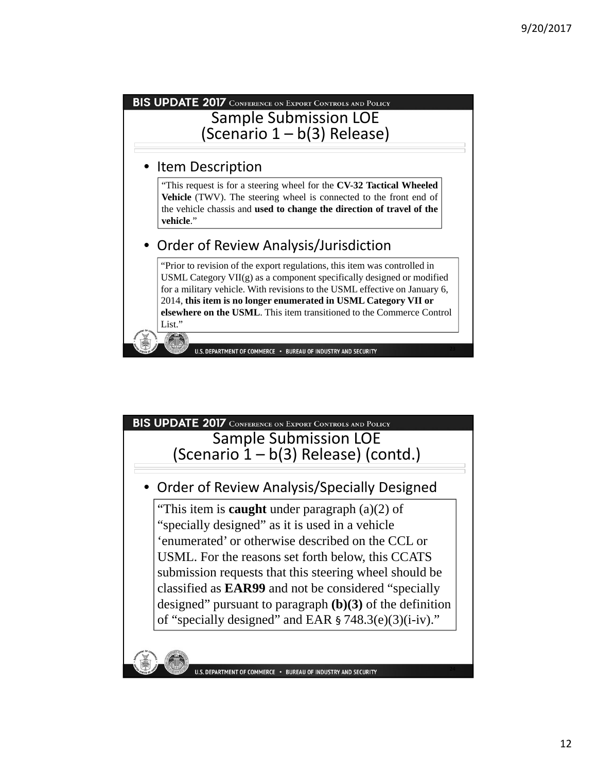### BIS UPDATE 2017 CONFERENCE ON EXPORT CONTROLS AND POLICY Sample Submission LOE (Scenario 1 – b(3) Release) • Item Description "This request is for a steering wheel for the **CV-32 Tactical Wheeled Vehicle** (TWV). The steering wheel is connected to the front end of the vehicle chassis and **used to change the direction of travel of the vehicle**." • Order of Review Analysis/Jurisdiction "Prior to revision of the export regulations, this item was controlled in USML Category VII(g) as a component specifically designed or modified for a military vehicle. With revisions to the USML effective on January 6, 2014, **this item is no longer enumerated in USML Category VII or elsewhere on the USML**. This item transitioned to the Commerce Control List." AR U.S. DEPARTMENT OF COMMERCE · BUREAU OF INDUSTRY AND SECURITY



• Order of Review Analysis/Specially Designed

"This item is **caught** under paragraph (a)(2) of "specially designed" as it is used in a vehicle 'enumerated' or otherwise described on the CCL or USML. For the reasons set forth below, this CCATS submission requests that this steering wheel should be classified as **EAR99** and not be considered "specially designed" pursuant to paragraph **(b)(3)** of the definition of "specially designed" and EAR  $\S$  748.3(e)(3)(i-iv)."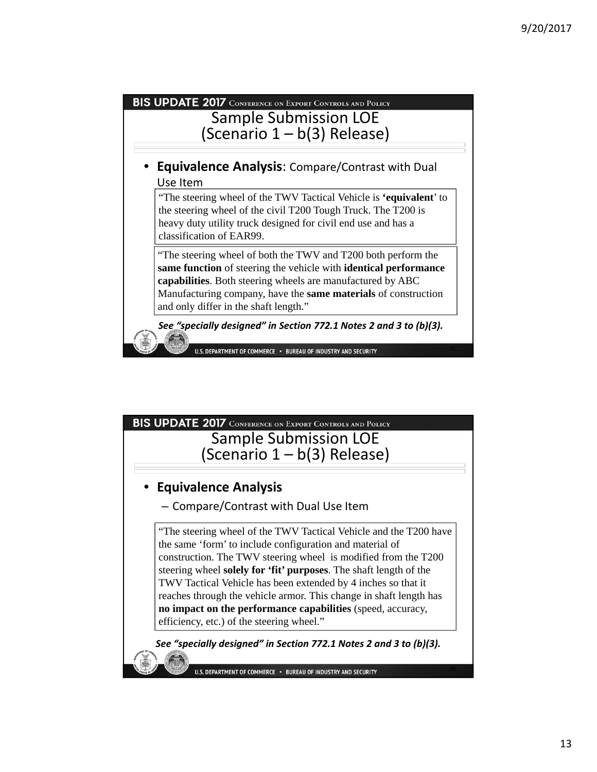### BIS UPDATE 2017 CONFERENCE ON EXPORT CONTROLS AND POLICY Sample Submission LOE (Scenario 1 – b(3) Release) • **Equivalence Analysis**: Compare/Contrast with Dual Use Item "The steering wheel of the TWV Tactical Vehicle is **'equivalent**' to the steering wheel of the civil T200 Tough Truck. The T200 is heavy duty utility truck designed for civil end use and has a classification of EAR99. "The steering wheel of both the TWV and T200 both perform the **same function** of steering the vehicle with **identical performance capabilities**. Both steering wheels are manufactured by ABC Manufacturing company, have the **same materials** of construction and only differ in the shaft length." *See "specially designed" in Section 772.1 Notes 2 and 3 to (b)(3).* U.S. DEPARTMENT OF COMMERCE . BUREAU OF INDUSTRY AND SECURITY

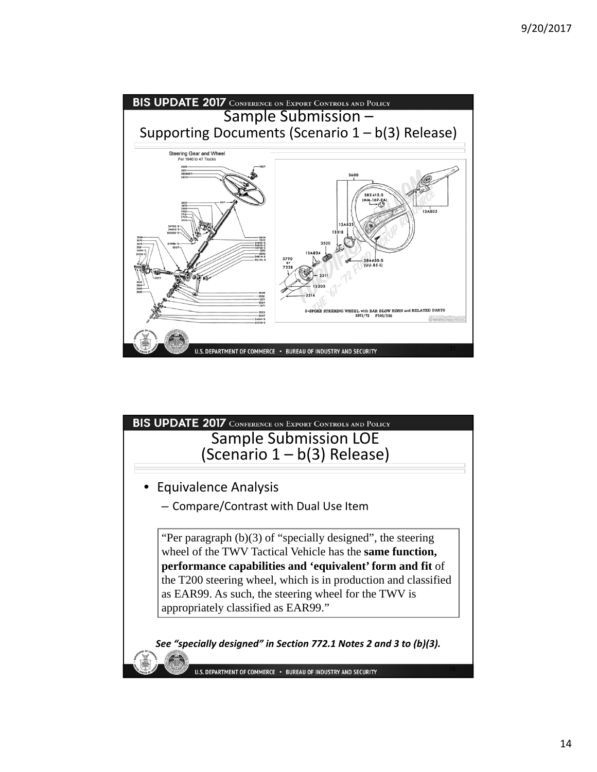

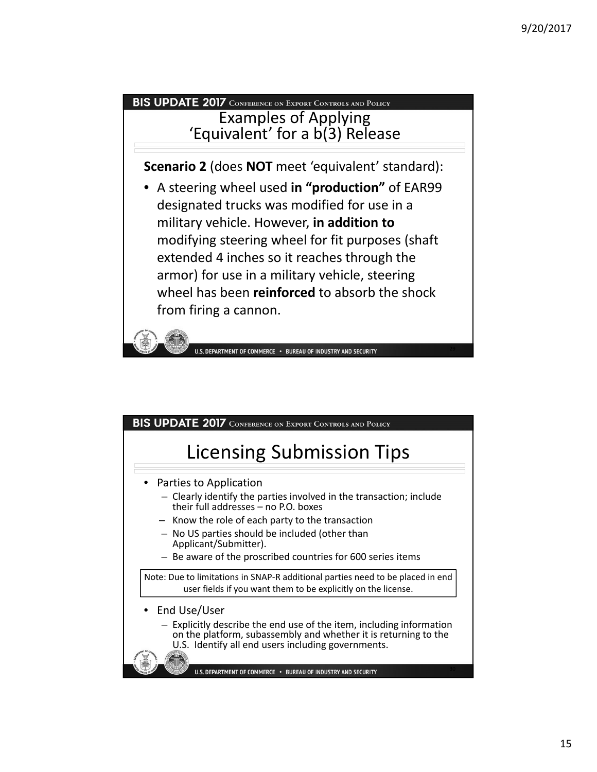## BIS UPDATE 2017 CONFERENCE ON EXPORT CONTROLS AND POLICY Examples of Applying 'Equivalent' for a b(3) Release **Scenario 2** (does **NOT** meet 'equivalent' standard): • A steering wheel used **in "production"** of EAR99 designated trucks was modified for use in a military vehicle. However, **in addition to** modifying steering wheel for fit purposes (shaft extended 4 inches so it reaches through the armor) for use in a military vehicle, steering wheel has been **reinforced** to absorb the shock from firing a cannon.



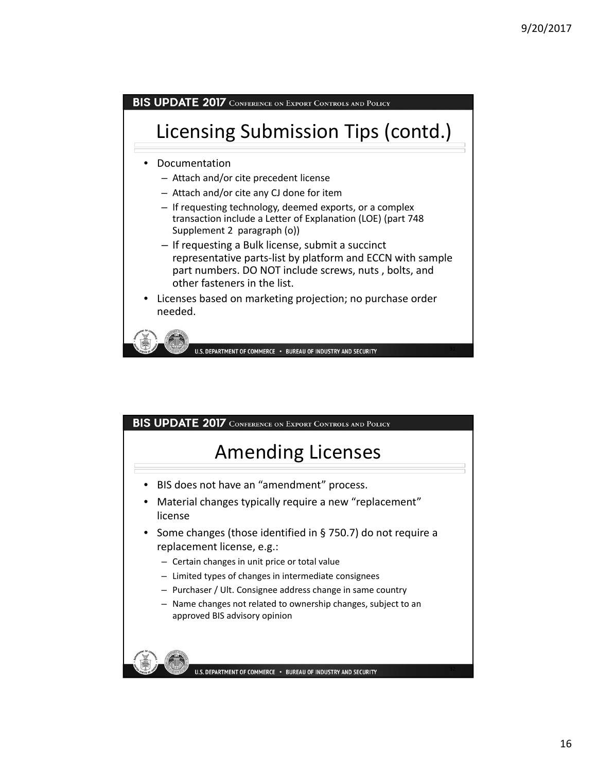

### BIS UPDATE 2017 CONFERENCE ON EXPORT CONTROLS AND POLICY

# Amending Licenses

- BIS does not have an "amendment" process.
- Material changes typically require a new "replacement" license
- Some changes (those identified in § 750.7) do not require a replacement license, e.g.:
	- Certain changes in unit price or total value
	- Limited types of changes in intermediate consignees
	- Purchaser / Ult. Consignee address change in same country
	- Name changes not related to ownership changes, subject to an approved BIS advisory opinion

U.S. DEPARTMENT OF COMMERCE . BUREAU OF INDUSTRY AND SECURITY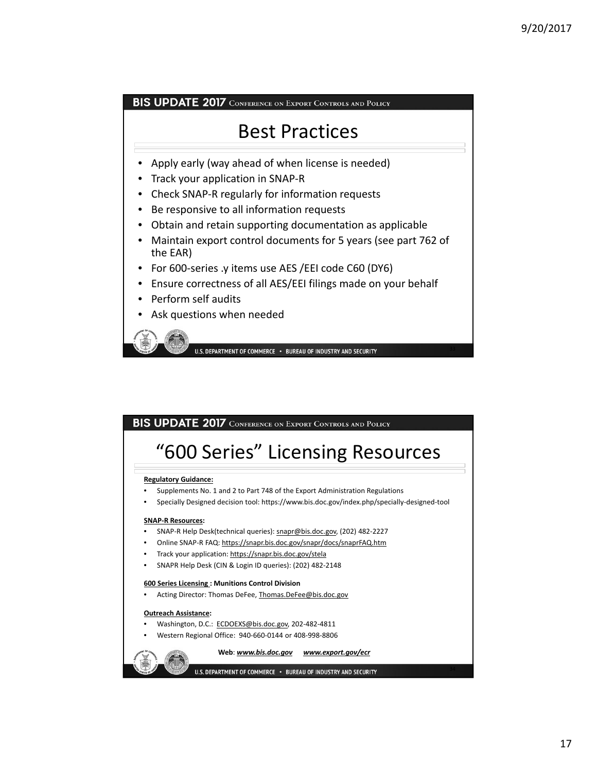BIS UPDATE 2017 CONFERENCE ON EXPORT CONTROLS AND POLICY

## Best Practices

- Apply early (way ahead of when license is needed)
- Track your application in SNAP‐R
- Check SNAP‐R regularly for information requests
- Be responsive to all information requests
- Obtain and retain supporting documentation as applicable
- Maintain export control documents for 5 years (see part 762 of the EAR)
- For 600-series .y items use AES / EEI code C60 (DY6)
- Ensure correctness of all AES/EEI filings made on your behalf
- Perform self audits
- Ask questions when needed

U.S. DEPARTMENT OF COMMERCE · BUREAU OF INDUSTRY AND SECURITY

### BIS UPDATE 2017 CONFERENCE ON EXPORT CONTROLS AND POLICY

# "600 Series" Licensing Resources

### **Regulatory Guidance:**

- Supplements No. 1 and 2 to Part 748 of the Export Administration Regulations
- Specially Designed decision tool: https://www.bis.doc.gov/index.php/specially‐designed‐tool

### **SNAP‐R Resources:**

- SNAP‐R Help Desk(technical queries): snapr@bis.doc.gov, (202) 482‐2227
- Online SNAP‐R FAQ: https://snapr.bis.doc.gov/snapr/docs/snaprFAQ.htm
- Track your application: https://snapr.bis.doc.gov/stela
- SNAPR Help Desk (CIN & Login ID queries): (202) 482‐2148

#### **600 Series Licensing : Munitions Control Division**

• Acting Director: Thomas DeFee, Thomas.DeFee@bis.doc.gov

#### **Outreach Assistance:**

- Washington, D.C.: ECDOEXS@bis.doc.gov, 202‐482‐4811
- Western Regional Office: 940‐660‐0144 or 408‐998‐8806

#### **Web**: *www.bis.doc.gov www.export.gov/ecr*

#### U.S. DEPARTMENT OF COMMERCE . BUREAU OF INDUSTRY AND SECURITY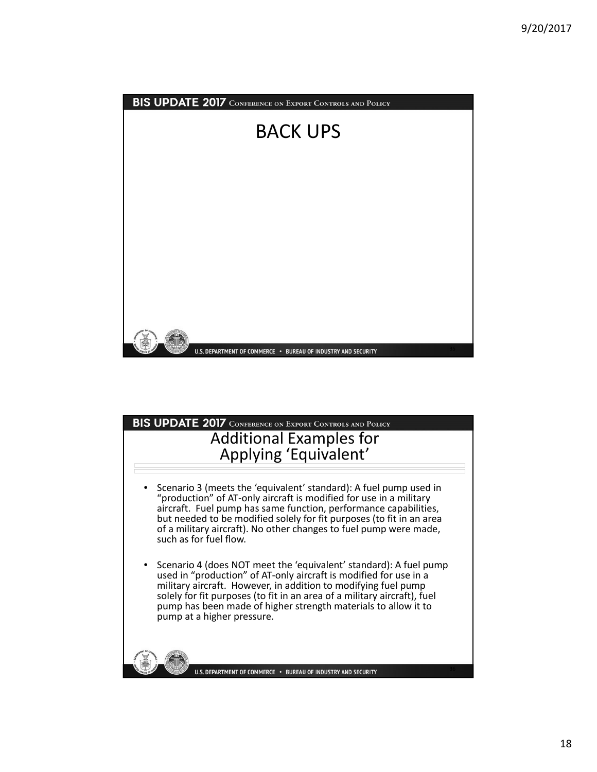

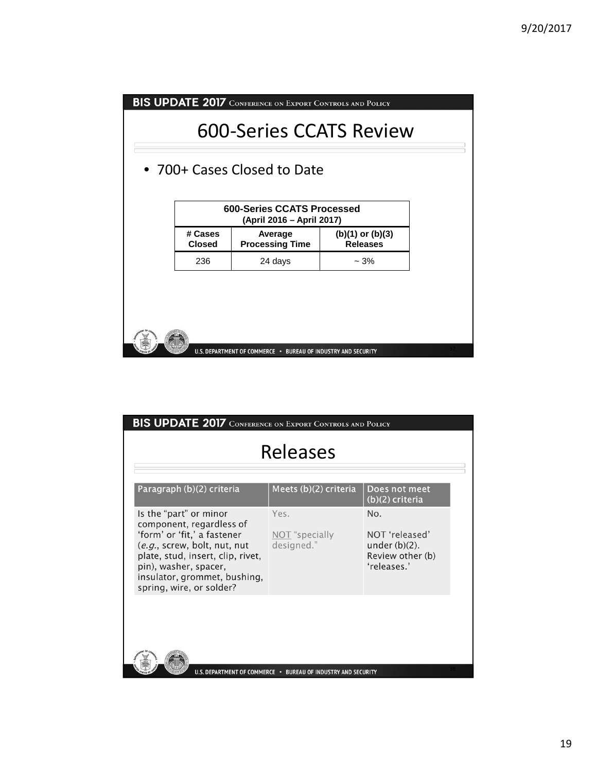|                          | <b>BIS UPDATE 2017</b> CONFERENCE ON EXPORT CONTROLS AND POLICY |                                         |  |
|--------------------------|-----------------------------------------------------------------|-----------------------------------------|--|
|                          |                                                                 | 600-Series CCATS Review                 |  |
|                          | • 700+ Cases Closed to Date                                     |                                         |  |
|                          |                                                                 |                                         |  |
|                          | 600-Series CCATS Processed<br>(April 2016 – April 2017)         |                                         |  |
| # Cases<br><b>Closed</b> | Average<br><b>Processing Time</b>                               | $(b)(1)$ or $(b)(3)$<br><b>Releases</b> |  |
| 236                      | 24 days                                                         | $~1.3\%$                                |  |
|                          |                                                                 |                                         |  |
|                          |                                                                 |                                         |  |
|                          |                                                                 |                                         |  |
|                          |                                                                 |                                         |  |
|                          | U.S. DEPARTMENT OF COMMERCE . BUREAU OF INDUSTRY AND SECURITY   |                                         |  |

| <b>BIS UPDATE 2017</b> CONFERENCE ON EXPORT CONTROLS AND POLICY                                                                                                                                                                             |                                                               |                                                                              |
|---------------------------------------------------------------------------------------------------------------------------------------------------------------------------------------------------------------------------------------------|---------------------------------------------------------------|------------------------------------------------------------------------------|
|                                                                                                                                                                                                                                             | Releases                                                      |                                                                              |
| Paragraph (b)(2) criteria                                                                                                                                                                                                                   | Meets (b)(2) criteria                                         | Does not meet<br>(b)(2) criteria                                             |
| Is the "part" or minor<br>component, regardless of<br>'form' or 'fit,' a fastener<br>(e.g., screw, bolt, nut, nut<br>plate, stud, insert, clip, rivet,<br>pin), washer, spacer,<br>insulator, grommet, bushing,<br>spring, wire, or solder? | Yes.<br>NOT "specially<br>designed."                          | No.<br>NOT 'released'<br>under $(b)(2)$ .<br>Review other (b)<br>'releases.' |
|                                                                                                                                                                                                                                             |                                                               |                                                                              |
|                                                                                                                                                                                                                                             | U.S. DEPARTMENT OF COMMERCE . BUREAU OF INDUSTRY AND SECURITY |                                                                              |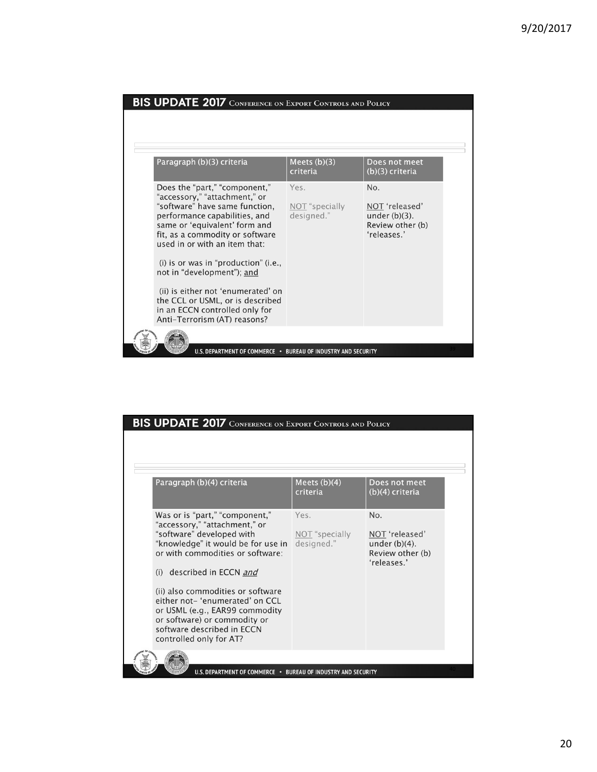| Paragraph (b)(3) criteria                                                                                                                                                                                                                                                                                                                                                                                                                                | Meets $(b)(3)$<br>criteria           | Does not meet<br>(b)(3) criteria                                             |
|----------------------------------------------------------------------------------------------------------------------------------------------------------------------------------------------------------------------------------------------------------------------------------------------------------------------------------------------------------------------------------------------------------------------------------------------------------|--------------------------------------|------------------------------------------------------------------------------|
| Does the "part," "component,"<br>"accessory," "attachment," or<br>"software" have same function.<br>performance capabilities, and<br>same or 'equivalent' form and<br>fit, as a commodity or software<br>used in or with an item that:<br>(i) is or was in "production" (i.e.,<br>not in "development"); and<br>(ii) is either not 'enumerated' on<br>the CCL or USML, or is described<br>in an ECCN controlled only for<br>Anti-Terrorism (AT) reasons? | Yes.<br>NOT "specially<br>designed." | No.<br>NOT 'released'<br>under $(b)(3)$ .<br>Review other (b)<br>'releases.' |

| Paragraph (b)(4) criteria                                                                                                                                                                                                                                                                                                                                                                             | Meets $(b)(4)$<br>criteria           | Does not meet<br>(b)(4) criteria                                             |
|-------------------------------------------------------------------------------------------------------------------------------------------------------------------------------------------------------------------------------------------------------------------------------------------------------------------------------------------------------------------------------------------------------|--------------------------------------|------------------------------------------------------------------------------|
| Was or is "part," "component,"<br>"accessory," "attachment," or<br>"software" developed with<br>"knowledge" it would be for use in<br>or with commodities or software:<br>(i) described in ECCN and<br>(ii) also commodities or software<br>either not-'enumerated' on CCL<br>or USML (e.g., EAR99 commodity<br>or software) or commodity or<br>software described in ECCN<br>controlled only for AT? | Yes.<br>NOT "specially<br>designed." | No.<br>NOT 'released'<br>under $(b)(4)$ .<br>Review other (b)<br>'releases.' |